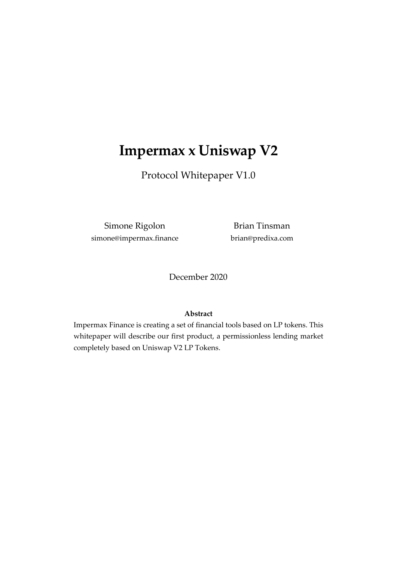# **Impermax x Uniswap V2**

Protocol Whitepaper V1.0

Simone Rigolon simone@impermax.finance

Brian Tinsman brian@predixa.com

December 2020

#### **Abstract**

Impermax Finance is creating a set of financial tools based on LP tokens. This whitepaper will describe our first product, a permissionless lending market completely based on Uniswap V2 LP Tokens.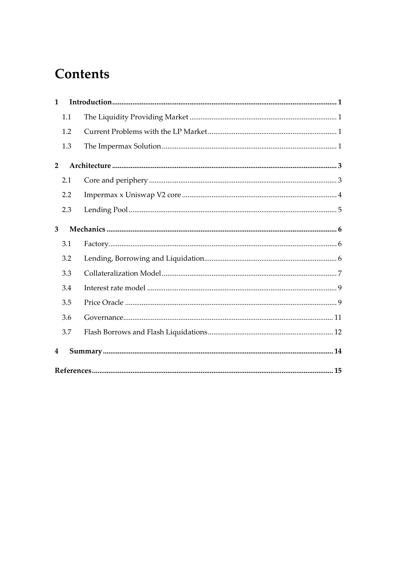# **Contents**

| $\mathbf{1}$   |     |  |  |  |  |  |
|----------------|-----|--|--|--|--|--|
|                | 1.1 |  |  |  |  |  |
|                | 1.2 |  |  |  |  |  |
|                | 1.3 |  |  |  |  |  |
| $\overline{2}$ |     |  |  |  |  |  |
|                | 2.1 |  |  |  |  |  |
|                | 2.2 |  |  |  |  |  |
|                | 2.3 |  |  |  |  |  |
| 3              |     |  |  |  |  |  |
|                | 3.1 |  |  |  |  |  |
|                | 3.2 |  |  |  |  |  |
|                | 3.3 |  |  |  |  |  |
|                | 3.4 |  |  |  |  |  |
|                | 3.5 |  |  |  |  |  |
|                | 3.6 |  |  |  |  |  |
|                | 3.7 |  |  |  |  |  |
| 4              |     |  |  |  |  |  |
|                |     |  |  |  |  |  |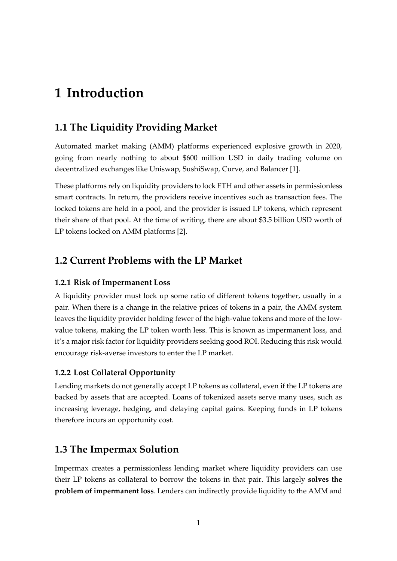# <span id="page-2-0"></span>**1 Introduction**

## <span id="page-2-1"></span>**1.1 The Liquidity Providing Market**

Automated market making (AMM) platforms experienced explosive growth in 2020, going from nearly nothing to about \$600 million USD in daily trading volume on decentralized exchanges like Uniswap, SushiSwap, Curve, and Balancer [1].

These platforms rely on liquidity providers to lock ETH and other assets in permissionless smart contracts. In return, the providers receive incentives such as transaction fees. The locked tokens are held in a pool, and the provider is issued LP tokens, which represent their share of that pool. At the time of writing, there are about \$3.5 billion USD worth of LP tokens locked on AMM platforms [2].

### <span id="page-2-2"></span>**1.2 Current Problems with the LP Market**

#### **1.2.1 Risk of Impermanent Loss**

A liquidity provider must lock up some ratio of different tokens together, usually in a pair. When there is a change in the relative prices of tokens in a pair, the AMM system leaves the liquidity provider holding fewer of the high-value tokens and more of the lowvalue tokens, making the LP token worth less. This is known as impermanent loss, and it's a major risk factor for liquidity providers seeking good ROI. Reducing this risk would encourage risk-averse investors to enter the LP market.

#### **1.2.2 Lost Collateral Opportunity**

Lending markets do not generally accept LP tokens as collateral, even if the LP tokens are backed by assets that are accepted. Loans of tokenized assets serve many uses, such as increasing leverage, hedging, and delaying capital gains. Keeping funds in LP tokens therefore incurs an opportunity cost.

## <span id="page-2-3"></span>**1.3 The Impermax Solution**

Impermax creates a permissionless lending market where liquidity providers can use their LP tokens as collateral to borrow the tokens in that pair. This largely **solves the problem of impermanent loss**. Lenders can indirectly provide liquidity to the AMM and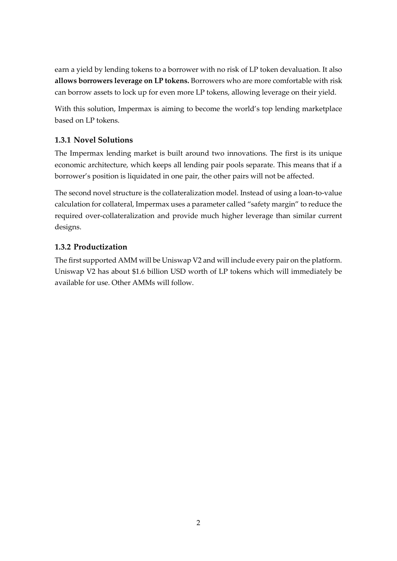earn a yield by lending tokens to a borrower with no risk of LP token devaluation. It also **allows borrowers leverage on LP tokens.** Borrowers who are more comfortable with risk can borrow assets to lock up for even more LP tokens, allowing leverage on their yield.

With this solution, Impermax is aiming to become the world's top lending marketplace based on LP tokens.

#### **1.3.1 Novel Solutions**

The Impermax lending market is built around two innovations. The first is its unique economic architecture, which keeps all lending pair pools separate. This means that if a borrower's position is liquidated in one pair, the other pairs will not be affected.

The second novel structure is the collateralization model. Instead of using a loan-to-value calculation for collateral, Impermax uses a parameter called "safety margin" to reduce the required over-collateralization and provide much higher leverage than similar current designs.

#### **1.3.2 Productization**

The first supported AMM will be Uniswap V2 and will include every pair on the platform. Uniswap V2 has about \$1.6 billion USD worth of LP tokens which will immediately be available for use. Other AMMs will follow.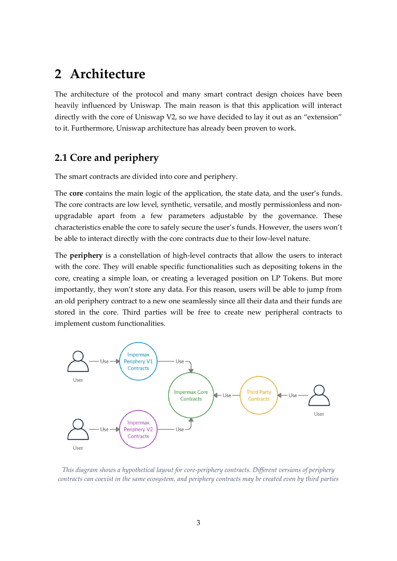## <span id="page-4-0"></span>**2 Architecture**

The architecture of the protocol and many smart contract design choices have been heavily influenced by Uniswap. The main reason is that this application will interact directly with the core of Uniswap V2, so we have decided to lay it out as an "extension" to it. Furthermore, Uniswap architecture has already been proven to work.

## <span id="page-4-1"></span>**2.1 Core and periphery**

The smart contracts are divided into core and periphery.

The **core** contains the main logic of the application, the state data, and the user's funds. The core contracts are low level, synthetic, versatile, and mostly permissionless and nonupgradable apart from a few parameters adjustable by the governance. These characteristics enable the core to safely secure the user's funds. However, the users won't be able to interact directly with the core contracts due to their low-level nature.

The **periphery** is a constellation of high-level contracts that allow the users to interact with the core. They will enable specific functionalities such as depositing tokens in the core, creating a simple loan, or creating a leveraged position on LP Tokens. But more importantly, they won't store any data. For this reason, users will be able to jump from an old periphery contract to a new one seamlessly since all their data and their funds are stored in the core. Third parties will be free to create new peripheral contracts to implement custom functionalities.



*This diagram shows a hypothetical layout for core-periphery contracts. Different versions of periphery contracts can coexist in the same ecosystem, and periphery contracts may be created even by third parties*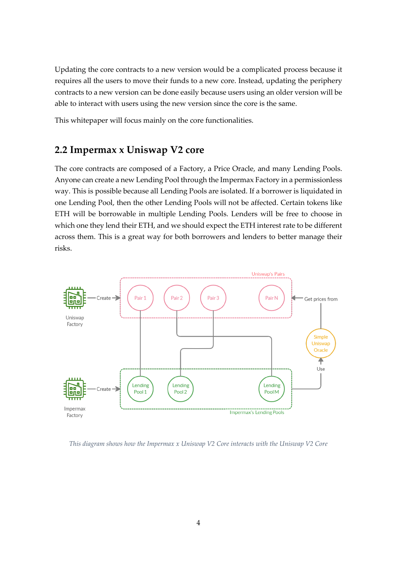Updating the core contracts to a new version would be a complicated process because it requires all the users to move their funds to a new core. Instead, updating the periphery contracts to a new version can be done easily because users using an older version will be able to interact with users using the new version since the core is the same.

This whitepaper will focus mainly on the core functionalities.

#### <span id="page-5-0"></span>**2.2 Impermax x Uniswap V2 core**

The core contracts are composed of a Factory, a Price Oracle, and many Lending Pools. Anyone can create a new Lending Pool through the Impermax Factory in a permissionless way. This is possible because all Lending Pools are isolated. If a borrower is liquidated in one Lending Pool, then the other Lending Pools will not be affected. Certain tokens like ETH will be borrowable in multiple Lending Pools. Lenders will be free to choose in which one they lend their ETH, and we should expect the ETH interest rate to be different across them. This is a great way for both borrowers and lenders to better manage their risks.



*This diagram shows how the Impermax x Uniswap V2 Core interacts with the Uniswap V2 Core*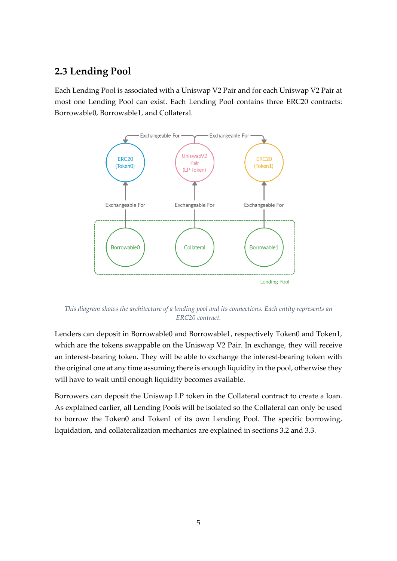## <span id="page-6-0"></span>**2.3 Lending Pool**

Each Lending Pool is associated with a Uniswap V2 Pair and for each Uniswap V2 Pair at most one Lending Pool can exist. Each Lending Pool contains three ERC20 contracts: Borrowable0, Borrowable1, and Collateral.



*This diagram shows the architecture of a lending pool and its connections. Each entity represents an ERC20 contract.*

Lenders can deposit in Borrowable0 and Borrowable1, respectively Token0 and Token1, which are the tokens swappable on the Uniswap V2 Pair. In exchange, they will receive an interest-bearing token. They will be able to exchange the interest-bearing token with the original one at any time assuming there is enough liquidity in the pool, otherwise they will have to wait until enough liquidity becomes available.

Borrowers can deposit the Uniswap LP token in the Collateral contract to create a loan. As explained earlier, all Lending Pools will be isolated so the Collateral can only be used to borrow the Token0 and Token1 of its own Lending Pool. The specific borrowing, liquidation, and collateralization mechanics are explained in sections 3.2 and 3.3.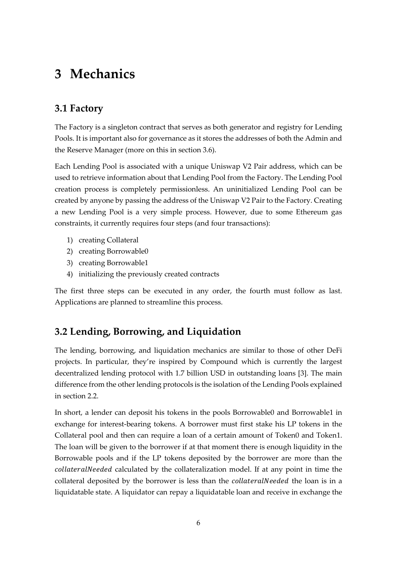## <span id="page-7-0"></span>**3 Mechanics**

## <span id="page-7-1"></span>**3.1 Factory**

The Factory is a singleton contract that serves as both generator and registry for Lending Pools. It is important also for governance as it stores the addresses of both the Admin and the Reserve Manager (more on this in section 3.6).

Each Lending Pool is associated with a unique Uniswap V2 Pair address, which can be used to retrieve information about that Lending Pool from the Factory. The Lending Pool creation process is completely permissionless. An uninitialized Lending Pool can be created by anyone by passing the address of the Uniswap V2 Pair to the Factory. Creating a new Lending Pool is a very simple process. However, due to some Ethereum gas constraints, it currently requires four steps (and four transactions):

- 1) creating Collateral
- 2) creating Borrowable0
- 3) creating Borrowable1
- 4) initializing the previously created contracts

The first three steps can be executed in any order, the fourth must follow as last. Applications are planned to streamline this process.

## <span id="page-7-2"></span>**3.2 Lending, Borrowing, and Liquidation**

The lending, borrowing, and liquidation mechanics are similar to those of other DeFi projects. In particular, they're inspired by Compound which is currently the largest decentralized lending protocol with 1.7 billion USD in outstanding loans [3]. The main difference from the other lending protocols is the isolation of the Lending Pools explained in section 2.2.

In short, a lender can deposit his tokens in the pools Borrowable0 and Borrowable1 in exchange for interest-bearing tokens. A borrower must first stake his LP tokens in the Collateral pool and then can require a loan of a certain amount of Token0 and Token1. The loan will be given to the borrower if at that moment there is enough liquidity in the Borrowable pools and if the LP tokens deposited by the borrower are more than the collateralNeeded calculated by the collateralization model. If at any point in time the collateral deposited by the borrower is less than the *collateralNeeded* the loan is in a liquidatable state. A liquidator can repay a liquidatable loan and receive in exchange the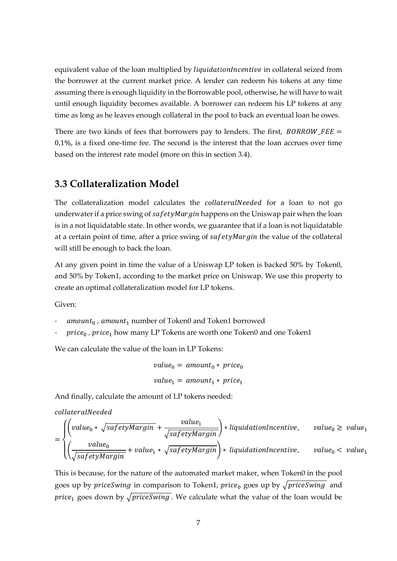equivalent value of the loan multiplied by *liquidationIncentive* in collateral seized from the borrower at the current market price. A lender can redeem his tokens at any time assuming there is enough liquidity in the Borrowable pool, otherwise, he will have to wait until enough liquidity becomes available. A borrower can redeem his LP tokens at any time as long as he leaves enough collateral in the pool to back an eventual loan he owes.

There are two kinds of fees that borrowers pay to lenders. The first,  $BORROW$   $FE =$ 0,1%, is a fixed one-time fee. The second is the interest that the loan accrues over time based on the interest rate model (more on this in section 3.4).

## <span id="page-8-0"></span>**3.3 Collateralization Model**

The collateralization model calculates the *collateralNeeded* for a loan to not go underwater if a price swing of  $safetyMargin$  happens on the Uniswap pair when the loan is in a not liquidatable state. In other words, we guarantee that if a loan is not liquidatable at a certain point of time, after a price swing of  $\mathfrak{safe}$  tyMargin the value of the collateral will still be enough to back the loan.

At any given point in time the value of a Uniswap LP token is backed 50% by Token0, and 50% by Token1, according to the market price on Uniswap. We use this property to create an optimal collateralization model for LP tokens.

Given:

- $amount_0$ , amount<sub>1</sub> number of Token0 and Token1 borrowed
- price<sub>0</sub>, price<sub>1</sub> how many LP Tokens are worth one Token0 and one Token1

We can calculate the value of the loan in LP Tokens:

$$
value_0 = amount_0 * price_0
$$
  

$$
value_1 = amount_1 * price_1
$$

And finally, calculate the amount of LP tokens needed:

collateralNeeded

$$
= \begin{cases} \left( value_0 * \sqrt{\text{safetyMargin}} + \frac{\text{value}_1}{\sqrt{\text{safetyMargin}}} \right) * liquidationIncentive, \quad value_0 \ge value_1\\ \left( \frac{\text{value}_0}{\sqrt{\text{safetyMargin}}} + \text{value}_1 * \sqrt{\text{safetyMargin}} \right) * liquidationIncentive, \quad value_0 < value_1 \end{cases}
$$

This is because, for the nature of the automated market maker, when Token0 in the pool goes up by *priceSwing* in comparison to Token1, *price*<sub>0</sub> goes up by  $\sqrt{p$ *riceSwing* and *price*<sub>1</sub> goes down by  $\sqrt{priceSwing}$ . We calculate what the value of the loan would be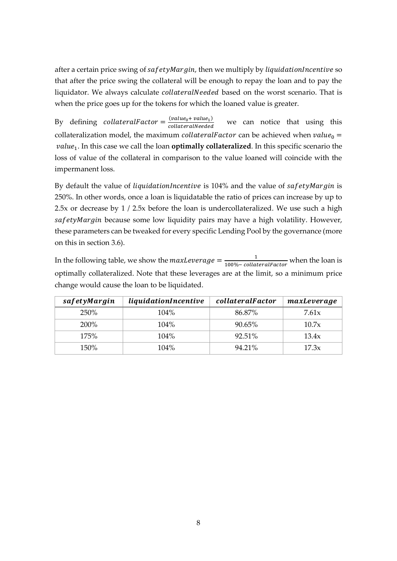after a certain price swing of  $safetyMargin$ , then we multiply by *liquidationIncentive* so that after the price swing the collateral will be enough to repay the loan and to pay the liquidator. We always calculate collateralNeeded based on the worst scenario. That is when the price goes up for the tokens for which the loaned value is greater.

By defining collateralFactor =  $\frac{(value_0 + value_1)}{collateralModel}$ collateralNeeded we can notice that using this collateralization model, the maximum *collateralFactor* can be achieved when  $value_0 =$ value<sub>1</sub>. In this case we call the loan **optimally collateralized**. In this specific scenario the loss of value of the collateral in comparison to the value loaned will coincide with the impermanent loss.

By default the value of *liquidationIncentive* is  $104\%$  and the value of safetyMargin is 250%. In other words, once a loan is liquidatable the ratio of prices can increase by up to 2.5x or decrease by 1 / 2.5x before the loan is undercollateralized. We use such a high safetyMargin because some low liquidity pairs may have a high volatility. However, these parameters can be tweaked for every specific Lending Pool by the governance (more on this in section 3.6).

In the following table, we show the  $maxLeverage = \frac{1}{100\% - \frac{1}{100\%}}$  $\frac{1}{100\% - collateralFactor}$  when the loan is optimally collateralized. Note that these leverages are at the limit, so a minimum price change would cause the loan to be liquidated.

| safetyMargin | liquidationIncentive |        | maxLeverage |
|--------------|----------------------|--------|-------------|
| 250%         | $104\%$              | 86.87% | 7.61x       |
| 200%         | 104%                 | 90.65% | 10.7x       |
| 175%         | $104\%$              | 92.51% | 13.4x       |
| 150%         | $104\%$              | 94.21% | 17.3x       |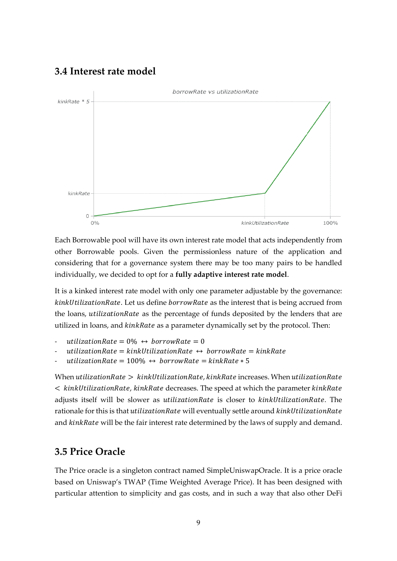### <span id="page-10-0"></span>**3.4 Interest rate model**



Each Borrowable pool will have its own interest rate model that acts independently from other Borrowable pools. Given the permissionless nature of the application and considering that for a governance system there may be too many pairs to be handled individually, we decided to opt for a **fully adaptive interest rate model**.

It is a kinked interest rate model with only one parameter adjustable by the governance: kinkUtilizationRate. Let us define borrowRate as the interest that is being accrued from the loans, *utilization Rate* as the percentage of funds deposited by the lenders that are utilized in loans, and *kinkRate* as a parameter dynamically set by the protocol. Then:

```
utilizationRate = 0\% \leftrightarrow borrowRate = 0
```

```
utilizationRate = kinkUtilizationRate \leftrightarrow borrowRate = kinkRate
```
utilizationRate =  $100\% \leftrightarrow borrowRate = kinkRate * 5$ 

When utilization Rate  $>$  kink Utilization Rate, kink Rate increases. When utilization Rate  $\kappa$  kinkUtilizationRate, kinkRate decreases. The speed at which the parameter kinkRate adjusts itself will be slower as *utilizationRate* is closer to  $kinkUltilizationRate$ . The rationale for this is that utilizationRate will eventually settle around kinkUtilizationRate and kinkRate will be the fair interest rate determined by the laws of supply and demand.

## <span id="page-10-1"></span>**3.5 Price Oracle**

The Price oracle is a singleton contract named SimpleUniswapOracle. It is a price oracle based on Uniswap's TWAP (Time Weighted Average Price). It has been designed with particular attention to simplicity and gas costs, and in such a way that also other DeFi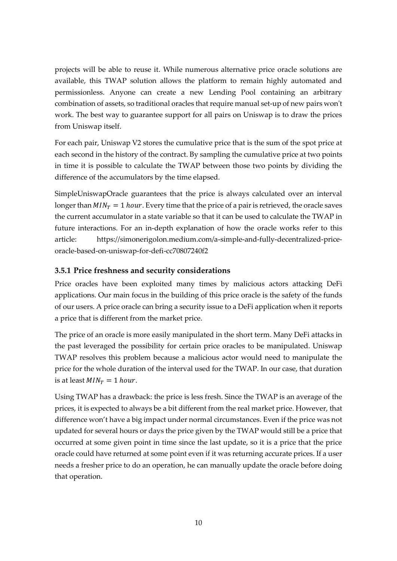projects will be able to reuse it. While numerous alternative price oracle solutions are available, this TWAP solution allows the platform to remain highly automated and permissionless. Anyone can create a new Lending Pool containing an arbitrary combination of assets, so traditional oracles that require manual set-up of new pairs won't work. The best way to guarantee support for all pairs on Uniswap is to draw the prices from Uniswap itself.

For each pair, Uniswap V2 stores the cumulative price that is the sum of the spot price at each second in the history of the contract. By sampling the cumulative price at two points in time it is possible to calculate the TWAP between those two points by dividing the difference of the accumulators by the time elapsed.

SimpleUniswapOracle guarantees that the price is always calculated over an interval longer than  $MIN_T = 1$  hour. Every time that the price of a pair is retrieved, the oracle saves the current accumulator in a state variable so that it can be used to calculate the TWAP in future interactions. For an in-depth explanation of how the oracle works refer to this article: https://simonerigolon.medium.com/a-simple-and-fully-decentralized-priceoracle-based-on-uniswap-for-defi-cc70807240f2

#### **3.5.1 Price freshness and security considerations**

Price oracles have been exploited many times by malicious actors attacking DeFi applications. Our main focus in the building of this price oracle is the safety of the funds of our users. A price oracle can bring a security issue to a DeFi application when it reports a price that is different from the market price.

The price of an oracle is more easily manipulated in the short term. Many DeFi attacks in the past leveraged the possibility for certain price oracles to be manipulated. Uniswap TWAP resolves this problem because a malicious actor would need to manipulate the price for the whole duration of the interval used for the TWAP. In our case, that duration is at least  $MIN_T = 1$  hour.

Using TWAP has a drawback: the price is less fresh. Since the TWAP is an average of the prices, it is expected to always be a bit different from the real market price. However, that difference won't have a big impact under normal circumstances. Even if the price was not updated for several hours or days the price given by the TWAP would still be a price that occurred at some given point in time since the last update, so it is a price that the price oracle could have returned at some point even if it was returning accurate prices. If a user needs a fresher price to do an operation, he can manually update the oracle before doing that operation.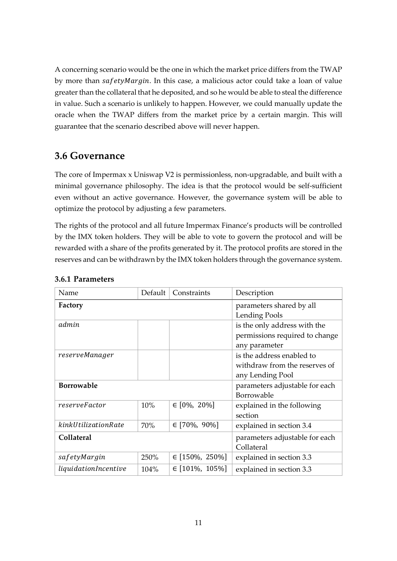A concerning scenario would be the one in which the market price differs from the TWAP by more than safetyMargin. In this case, a malicious actor could take a loan of value greater than the collateral that he deposited, and so he would be able to steal the difference in value. Such a scenario is unlikely to happen. However, we could manually update the oracle when the TWAP differs from the market price by a certain margin. This will guarantee that the scenario described above will never happen.

### <span id="page-12-0"></span>**3.6 Governance**

The core of Impermax x Uniswap V2 is permissionless, non-upgradable, and built with a minimal governance philosophy. The idea is that the protocol would be self-sufficient even without an active governance. However, the governance system will be able to optimize the protocol by adjusting a few parameters.

The rights of the protocol and all future Impermax Finance's products will be controlled by the IMX token holders. They will be able to vote to govern the protocol and will be rewarded with a share of the profits generated by it. The protocol profits are stored in the reserves and can be withdrawn by the IMX token holders through the governance system.

| Name                 | Default                                      | Constraints        | Description                                                                     |
|----------------------|----------------------------------------------|--------------------|---------------------------------------------------------------------------------|
| Factory              | parameters shared by all<br>Lending Pools    |                    |                                                                                 |
| admin                |                                              |                    | is the only address with the<br>permissions required to change<br>any parameter |
| reserveManager       |                                              |                    | is the address enabled to<br>withdraw from the reserves of<br>any Lending Pool  |
| <b>Borrowable</b>    | parameters adjustable for each<br>Borrowable |                    |                                                                                 |
| reserveFactor        | 10%                                          | $\in$ [0%, 20%]    | explained in the following<br>section                                           |
| kinkUtilizationRate  | 70%                                          | $\in$ [70%, 90%]   | explained in section 3.4                                                        |
| Collateral           | parameters adjustable for each<br>Collateral |                    |                                                                                 |
| safetyMargin         | 250%                                         | $\in$ [150%, 250%] | explained in section 3.3                                                        |
| liquidationIncentive | 104%                                         | $\in$ [101%, 105%] | explained in section 3.3                                                        |

#### **3.6.1 Parameters**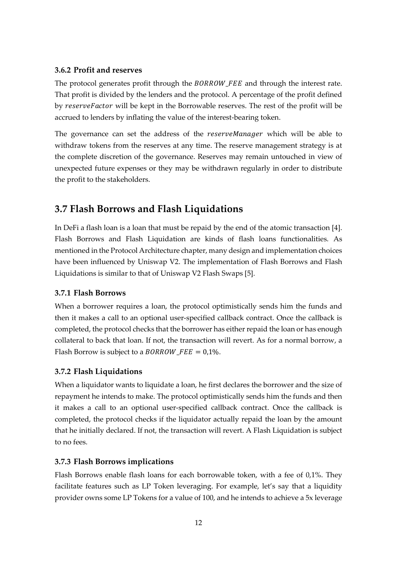#### **3.6.2 Profit and reserves**

The protocol generates profit through the BORROW\_FEE and through the interest rate. That profit is divided by the lenders and the protocol. A percentage of the profit defined by reserveFactor will be kept in the Borrowable reserves. The rest of the profit will be accrued to lenders by inflating the value of the interest-bearing token.

The governance can set the address of the *reserveManager* which will be able to withdraw tokens from the reserves at any time. The reserve management strategy is at the complete discretion of the governance. Reserves may remain untouched in view of unexpected future expenses or they may be withdrawn regularly in order to distribute the profit to the stakeholders.

## <span id="page-13-0"></span>**3.7 Flash Borrows and Flash Liquidations**

In DeFi a flash loan is a loan that must be repaid by the end of the atomic transaction [4]. Flash Borrows and Flash Liquidation are kinds of flash loans functionalities. As mentioned in the Protocol Architecture chapter, many design and implementation choices have been influenced by Uniswap V2. The implementation of Flash Borrows and Flash Liquidations is similar to that of Uniswap V2 Flash Swaps [5].

#### **3.7.1 Flash Borrows**

When a borrower requires a loan, the protocol optimistically sends him the funds and then it makes a call to an optional user-specified callback contract. Once the callback is completed, the protocol checks that the borrower has either repaid the loan or has enough collateral to back that loan. If not, the transaction will revert. As for a normal borrow, a Flash Borrow is subject to a  $BORROW$   $FEE = 0.1\%$ .

#### **3.7.2 Flash Liquidations**

When a liquidator wants to liquidate a loan, he first declares the borrower and the size of repayment he intends to make. The protocol optimistically sends him the funds and then it makes a call to an optional user-specified callback contract. Once the callback is completed, the protocol checks if the liquidator actually repaid the loan by the amount that he initially declared. If not, the transaction will revert. A Flash Liquidation is subject to no fees.

#### **3.7.3 Flash Borrows implications**

Flash Borrows enable flash loans for each borrowable token, with a fee of 0,1%. They facilitate features such as LP Token leveraging. For example, let's say that a liquidity provider owns some LP Tokens for a value of 100, and he intends to achieve a 5x leverage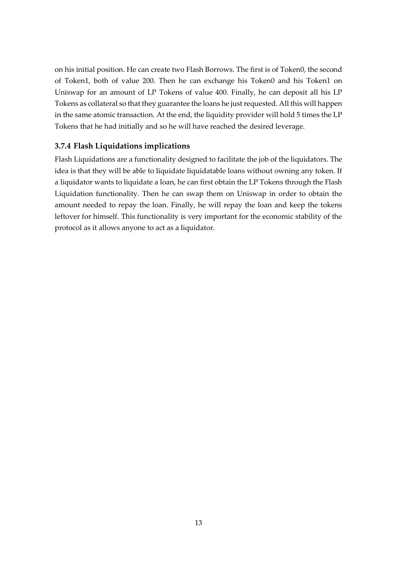on his initial position. He can create two Flash Borrows. The first is of Token0, the second of Token1, both of value 200. Then he can exchange his Token0 and his Token1 on Uniswap for an amount of LP Tokens of value 400. Finally, he can deposit all his LP Tokens as collateral so that they guarantee the loans he just requested. All this will happen in the same atomic transaction. At the end, the liquidity provider will hold 5 times the LP Tokens that he had initially and so he will have reached the desired leverage.

#### **3.7.4 Flash Liquidations implications**

Flash Liquidations are a functionality designed to facilitate the job of the liquidators. The idea is that they will be able to liquidate liquidatable loans without owning any token. If a liquidator wants to liquidate a loan, he can first obtain the LP Tokens through the Flash Liquidation functionality. Then he can swap them on Uniswap in order to obtain the amount needed to repay the loan. Finally, he will repay the loan and keep the tokens leftover for himself. This functionality is very important for the economic stability of the protocol as it allows anyone to act as a liquidator.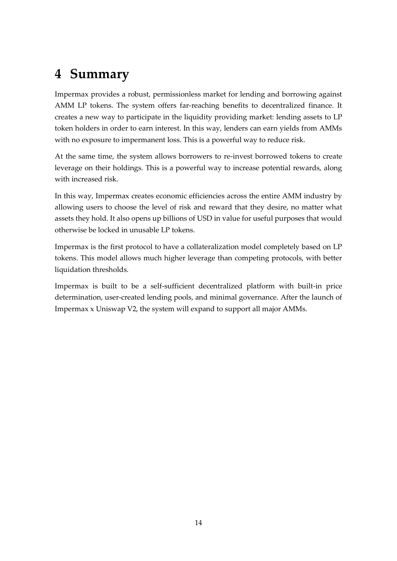## <span id="page-15-0"></span>**4 Summary**

Impermax provides a robust, permissionless market for lending and borrowing against AMM LP tokens. The system offers far-reaching benefits to decentralized finance. It creates a new way to participate in the liquidity providing market: lending assets to LP token holders in order to earn interest. In this way, lenders can earn yields from AMMs with no exposure to impermanent loss. This is a powerful way to reduce risk.

At the same time, the system allows borrowers to re-invest borrowed tokens to create leverage on their holdings. This is a powerful way to increase potential rewards, along with increased risk.

In this way, Impermax creates economic efficiencies across the entire AMM industry by allowing users to choose the level of risk and reward that they desire, no matter what assets they hold. It also opens up billions of USD in value for useful purposes that would otherwise be locked in unusable LP tokens.

Impermax is the first protocol to have a collateralization model completely based on LP tokens. This model allows much higher leverage than competing protocols, with better liquidation thresholds.

Impermax is built to be a self-sufficient decentralized platform with built-in price determination, user-created lending pools, and minimal governance. After the launch of Impermax x Uniswap V2, the system will expand to support all major AMMs.